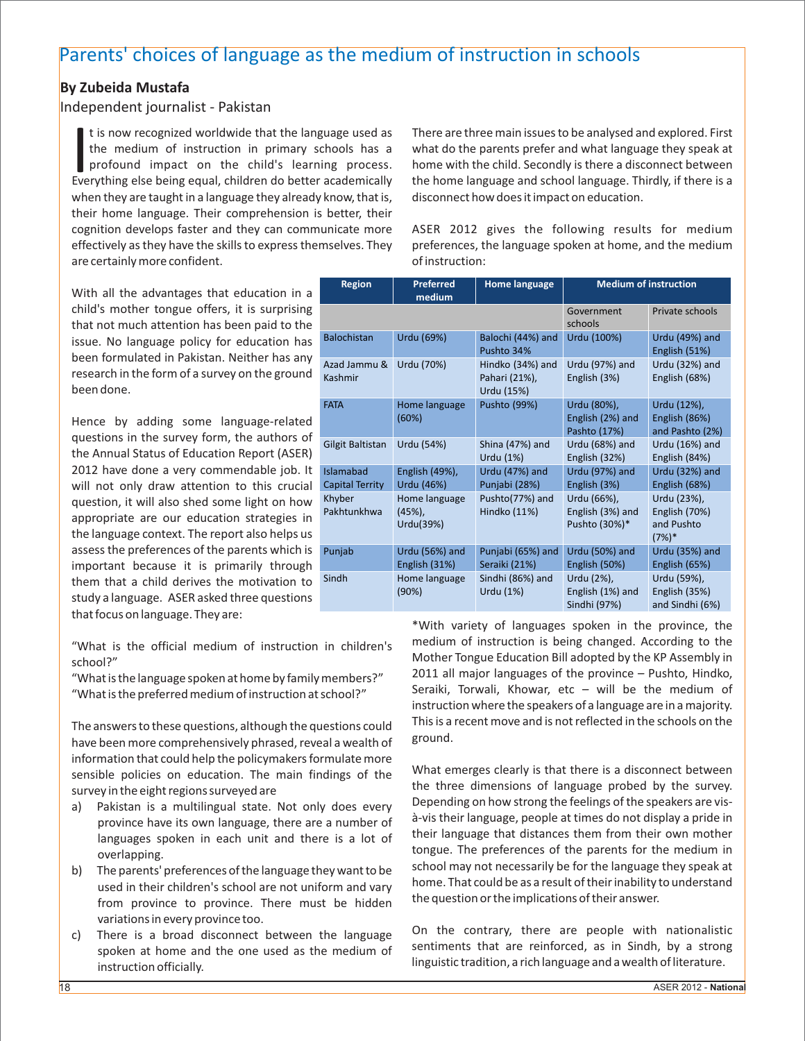## Parents' choices of language as the medium of instruction in schools

## **By Zubeida Mustafa**

## Independent journalist - Pakistan

the medium of instruction in primary schools has a There are three main issues to be analysed and explored. First the medium of instruction in primary schools has a what do the parents prefer and what language they speak a Everything else being equal, children do better academically the home language and school language. Thirdly, if there is a when they are taught in a language they already know, that is, disconnect how does it impact on education. their home language. Their comprehension is better, their are certainly more confident.  $\blacksquare$ 

With all the advantages that education in a child's mother tongue offers, it is surprising that not much attention has been paid to the issue. No language policy for education has been formulated in Pakistan. Neither has any research in the form of a survey on the ground been done.

Hence by adding some language-related questions in the survey form, the authors of the Annual Status of Education Report (ASER) 2012 have done a very commendable job. It will not only draw attention to this crucial question, it will also shed some light on how appropriate are our education strategies in the language context. The report also helps us assess the preferences of the parents which is important because it is primarily through them that a child derives the motivation to study a language. ASER asked three questions that focus on language. They are:

"What is the preferred medium of instruction at school?"

have been more comprehensively phrased, reveal a wealth of information that could help the policymakers formulate more sensible policies on education. The main findings of the What emerges clearly is that there is a disconnect between survey in the eight regions surveyed are the survey in the three dimensions of language probed by the survey.

- languages spoken in each unit and there is a lot of
- from province to province. There must be hidden variations in every province too.
- c) There is a broad disconnect between the language linguistic tradition, a rich language and a wealth of literature. instruction officially.

t is now recognized worldwide that the language used as There are three main issues to be analysed and explored. First

cognition develops faster and they can communicate more ASER 2012 gives the following results for medium effectively as they have the skills to express themselves. They preferences, the language spoken at home, and the medium

| <b>Region</b>                       | <b>Preferred</b><br>medium          | <b>Home language</b>                            | <b>Medium of instruction</b>                     |                                                        |
|-------------------------------------|-------------------------------------|-------------------------------------------------|--------------------------------------------------|--------------------------------------------------------|
|                                     |                                     |                                                 | Government<br>schools                            | Private schools                                        |
| <b>Balochistan</b>                  | Urdu (69%)                          | Balochi (44%) and<br>Pushto 34%                 | Urdu (100%)                                      | Urdu (49%) and<br>English (51%)                        |
| Azad Jammu &<br>Kashmir             | Urdu (70%)                          | Hindko (34%) and<br>Pahari (21%),<br>Urdu (15%) | Urdu (97%) and<br>English (3%)                   | Urdu (32%) and<br>English (68%)                        |
| <b>FATA</b>                         | Home language<br>(60%)              | Pushto (99%)                                    | Urdu (80%),<br>English (2%) and<br>Pashto (17%)  | Urdu (12%),<br>English (86%)<br>and Pashto (2%)        |
| Gilgit Baltistan                    | Urdu (54%)                          | Shina (47%) and<br>Urdu (1%)                    | Urdu (68%) and<br>English (32%)                  | Urdu (16%) and<br>English (84%)                        |
| Islamabad<br><b>Capital Territy</b> | English (49%),<br>Urdu (46%)        | Urdu (47%) and<br>Punjabi (28%)                 | Urdu (97%) and<br>English (3%)                   | <b>Urdu (32%) and</b><br>English (68%)                 |
| Khyber<br>Pakhtunkhwa               | Home language<br>(45%)<br>Urdu(39%) | Pushto(77%) and<br>Hindko (11%)                 | Urdu (66%),<br>English (3%) and<br>Pushto (30%)* | Urdu (23%),<br>English (70%)<br>and Pushto<br>$(7%)$ * |
| Punjab                              | Urdu (56%) and<br>English (31%)     | Punjabi (65%) and<br>Seraiki (21%)              | Urdu (50%) and<br>English (50%)                  | Urdu (35%) and<br>English (65%)                        |
| Sindh                               | Home language<br>(90%)              | Sindhi (86%) and<br>Urdu (1%)                   | Urdu (2%),<br>English (1%) and<br>Sindhi (97%)   | Urdu (59%),<br>English (35%)<br>and Sindhi (6%)        |

\*With variety of languages spoken in the province, the "What is the official medium of instruction in children's medium of instruction is being changed. According to the school?"<br>"What is the language spoken at home by family members?" 2011 all major languages of the province – Pushto, Hindko, What is the language spoken at home by family members?" and the major languages of the province – Pushto, Hindko,<br>What is the preferred medium of instruction at school?" Seraiki, Torwali, Khowar, etc – will be the medium o instruction where the speakers of a language are in a majority. The answers to these questions, although the questions could<br>have been more comprehensively phrased, reveal a wealth of ground.

a) Pakistan is a multilingual state. Not only does every Depending on how strong the feelings of the speakers are visprovince have its own language, there are a number of  $\frac{a}{2}$ -vis their language, people at times do not display a pride in province have its a lot of their language that distances them from their own mother tongue. The preferences of the parents for the medium in overlapping. b) The parents' preferences of the language they want to be school may not necessarily be for the language they speak at used in their children's school are not uniform and vary<br>from province, to province. There must be hidden the question or the implications of their answer.

On the contrary, there are people with nationalistic spoken at home and the one used as the medium of sentiments that are reinforced, as in Sindh, by a strong